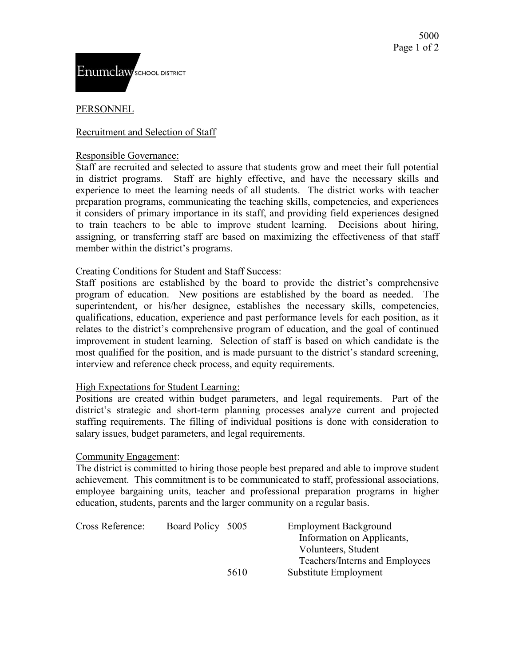# PERSONNEL

# Recruitment and Selection of Staff

### Responsible Governance:

Staff are recruited and selected to assure that students grow and meet their full potential in district programs. Staff are highly effective, and have the necessary skills and experience to meet the learning needs of all students. The district works with teacher preparation programs, communicating the teaching skills, competencies, and experiences it considers of primary importance in its staff, and providing field experiences designed to train teachers to be able to improve student learning. Decisions about hiring, assigning, or transferring staff are based on maximizing the effectiveness of that staff member within the district's programs.

## Creating Conditions for Student and Staff Success:

Staff positions are established by the board to provide the district's comprehensive program of education. New positions are established by the board as needed.The superintendent, or his/her designee, establishes the necessary skills, competencies, qualifications, education, experience and past performance levels for each position, as it relates to the district's comprehensive program of education, and the goal of continued improvement in student learning. Selection of staff is based on which candidate is the most qualified for the position, and is made pursuant to the district's standard screening, interview and reference check process, and equity requirements.

## High Expectations for Student Learning:

Positions are created within budget parameters, and legal requirements. Part of the district's strategic and short-term planning processes analyze current and projected staffing requirements. The filling of individual positions is done with consideration to salary issues, budget parameters, and legal requirements.

## Community Engagement:

The district is committed to hiring those people best prepared and able to improve student achievement. This commitment is to be communicated to staff, professional associations, employee bargaining units, teacher and professional preparation programs in higher education, students, parents and the larger community on a regular basis.

| Cross Reference: | Board Policy 5005 |      | <b>Employment Background</b>   |
|------------------|-------------------|------|--------------------------------|
|                  |                   |      | Information on Applicants,     |
|                  |                   |      | Volunteers, Student            |
|                  |                   |      | Teachers/Interns and Employees |
|                  |                   | 5610 | Substitute Employment          |
|                  |                   |      |                                |